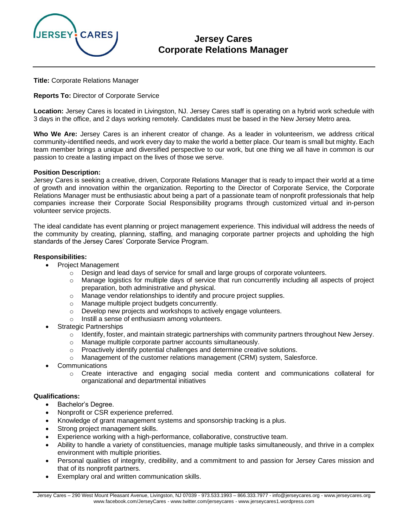

# **Jersey Cares Corporate Relations Manager**

**Title:** Corporate Relations Manager

**Reports To:** Director of Corporate Service

**Location:** Jersey Cares is located in Livingston, NJ. Jersey Cares staff is operating on a hybrid work schedule with 3 days in the office, and 2 days working remotely. Candidates must be based in the New Jersey Metro area.

**Who We Are:** Jersey Cares is an inherent creator of change. As a leader in volunteerism, we address critical community-identified needs, and work every day to make the world a better place. Our team is small but mighty. Each team member brings a unique and diversified perspective to our work, but one thing we all have in common is our passion to create a lasting impact on the lives of those we serve.

#### **Position Description:**

Jersey Cares is seeking a creative, driven, Corporate Relations Manager that is ready to impact their world at a time of growth and innovation within the organization. Reporting to the Director of Corporate Service, the Corporate Relations Manager must be enthusiastic about being a part of a passionate team of nonprofit professionals that help companies increase their Corporate Social Responsibility programs through customized virtual and in-person volunteer service projects.

The ideal candidate has event planning or project management experience. This individual will address the needs of the community by creating, planning, staffing, and managing corporate partner projects and upholding the high standards of the Jersey Cares' Corporate Service Program.

#### **Responsibilities:**

- Project Management
	- $\circ$  Design and lead days of service for small and large groups of corporate volunteers.
	- $\circ$  Manage logistics for multiple days of service that run concurrently including all aspects of project preparation, both administrative and physical.
	- $\circ$  Manage vendor relationships to identify and procure project supplies.
	- o Manage multiple project budgets concurrently.
	- o Develop new projects and workshops to actively engage volunteers.
	- o Instill a sense of enthusiasm among volunteers.
- **Strategic Partnerships** 
	- $\circ$  Identify, foster, and maintain strategic partnerships with community partners throughout New Jersey.
	- o Manage multiple corporate partner accounts simultaneously.
	- $\circ$  Proactively identify potential challenges and determine creative solutions.
	- o Management of the customer relations management (CRM) system, Salesforce.
- **Communications** 
	- o Create interactive and engaging social media content and communications collateral for organizational and departmental initiatives

#### **Qualifications:**

- Bachelor's Degree.
- Nonprofit or CSR experience preferred.
- Knowledge of grant management systems and sponsorship tracking is a plus.
- Strong project management skills.
- Experience working with a high-performance, collaborative, constructive team.
- Ability to handle a variety of constituencies, manage multiple tasks simultaneously, and thrive in a complex environment with multiple priorities.
- Personal qualities of integrity, credibility, and a commitment to and passion for Jersey Cares mission and that of its nonprofit partners.
- Exemplary oral and written communication skills.